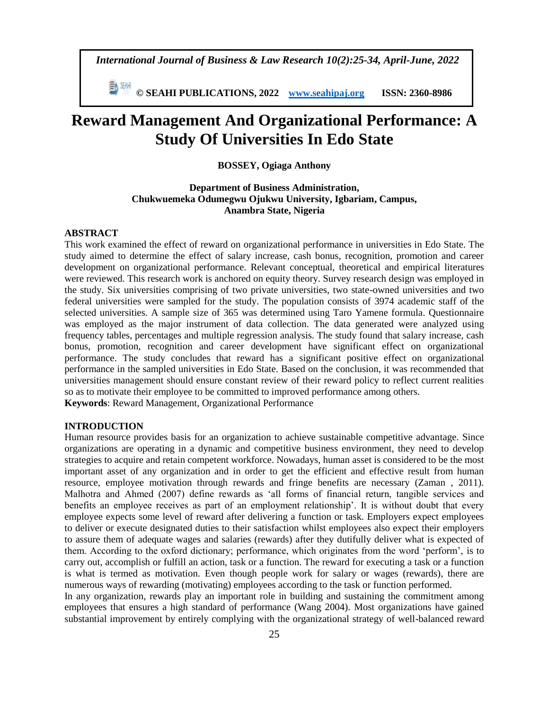*International Journal of Business & Law Research 10(2):25-34, April-June, 2022*

 **© SEAHI PUBLICATIONS, 2022 [www.seahipaj.org](http://www.seahipaj.org/) ISSN: 2360-8986**

# **Reward Management And Organizational Performance: A Study Of Universities In Edo State**

## **BOSSEY, Ogiaga Anthony**

# **Department of Business Administration, Chukwuemeka Odumegwu Ojukwu University, Igbariam, Campus, Anambra State, Nigeria**

# **ABSTRACT**

This work examined the effect of reward on organizational performance in universities in Edo State. The study aimed to determine the effect of salary increase, cash bonus, recognition, promotion and career development on organizational performance. Relevant conceptual, theoretical and empirical literatures were reviewed. This research work is anchored on equity theory. Survey research design was employed in the study. Six universities comprising of two private universities, two state-owned universities and two federal universities were sampled for the study. The population consists of 3974 academic staff of the selected universities. A sample size of 365 was determined using Taro Yamene formula. Questionnaire was employed as the major instrument of data collection. The data generated were analyzed using frequency tables, percentages and multiple regression analysis. The study found that salary increase, cash bonus, promotion, recognition and career development have significant effect on organizational performance. The study concludes that reward has a significant positive effect on organizational performance in the sampled universities in Edo State. Based on the conclusion, it was recommended that universities management should ensure constant review of their reward policy to reflect current realities so as to motivate their employee to be committed to improved performance among others. **Keywords**: Reward Management, Organizational Performance

## **INTRODUCTION**

Human resource provides basis for an organization to achieve sustainable competitive advantage. Since organizations are operating in a dynamic and competitive business environment, they need to develop strategies to acquire and retain competent workforce. Nowadays, human asset is considered to be the most important asset of any organization and in order to get the efficient and effective result from human resource, employee motivation through rewards and fringe benefits are necessary (Zaman , 2011). Malhotra and Ahmed (2007) define rewards as 'all forms of financial return, tangible services and benefits an employee receives as part of an employment relationship'. It is without doubt that every employee expects some level of reward after delivering a function or task. Employers expect employees to deliver or execute designated duties to their satisfaction whilst employees also expect their employers to assure them of adequate wages and salaries (rewards) after they dutifully deliver what is expected of them. According to the oxford dictionary; performance, which originates from the word 'perform', is to carry out, accomplish or fulfill an action, task or a function. The reward for executing a task or a function is what is termed as motivation. Even though people work for salary or wages (rewards), there are numerous ways of rewarding (motivating) employees according to the task or function performed.

In any organization, rewards play an important role in building and sustaining the commitment among employees that ensures a high standard of performance (Wang 2004). Most organizations have gained substantial improvement by entirely complying with the organizational strategy of well-balanced reward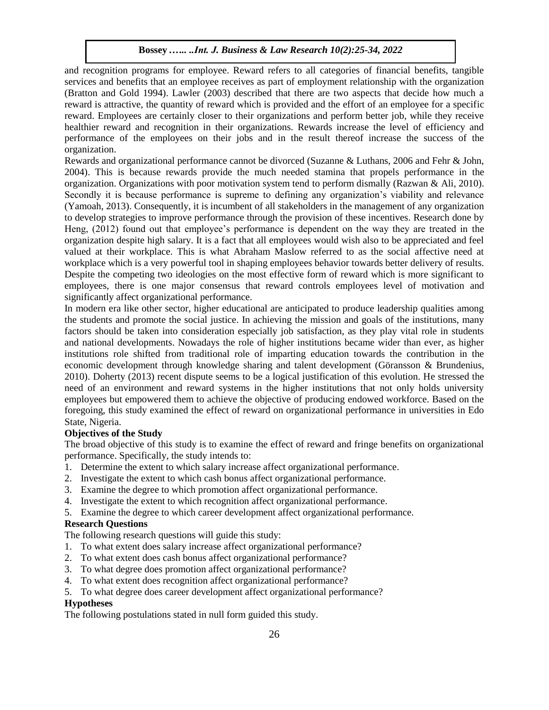and recognition programs for employee. Reward refers to all categories of financial benefits, tangible services and benefits that an employee receives as part of employment relationship with the organization (Bratton and Gold 1994). Lawler (2003) described that there are two aspects that decide how much a reward is attractive, the quantity of reward which is provided and the effort of an employee for a specific reward. Employees are certainly closer to their organizations and perform better job, while they receive healthier reward and recognition in their organizations. Rewards increase the level of efficiency and performance of the employees on their jobs and in the result thereof increase the success of the organization.

Rewards and organizational performance cannot be divorced (Suzanne & Luthans, 2006 and Fehr & John, 2004). This is because rewards provide the much needed stamina that propels performance in the organization. Organizations with poor motivation system tend to perform dismally (Razwan & Ali, 2010). Secondly it is because performance is supreme to defining any organization's viability and relevance (Yamoah, 2013). Consequently, it is incumbent of all stakeholders in the management of any organization to develop strategies to improve performance through the provision of these incentives. Research done by Heng, (2012) found out that employee's performance is dependent on the way they are treated in the organization despite high salary. It is a fact that all employees would wish also to be appreciated and feel valued at their workplace. This is what Abraham Maslow referred to as the social affective need at workplace which is a very powerful tool in shaping employees behavior towards better delivery of results. Despite the competing two ideologies on the most effective form of reward which is more significant to employees, there is one major consensus that reward controls employees level of motivation and significantly affect organizational performance.

In modern era like other sector, higher educational are anticipated to produce leadership qualities among the students and promote the social justice. In achieving the mission and goals of the institutions, many factors should be taken into consideration especially job satisfaction, as they play vital role in students and national developments. Nowadays the role of higher institutions became wider than ever, as higher institutions role shifted from traditional role of imparting education towards the contribution in the economic development through knowledge sharing and talent development (Göransson & Brundenius, 2010). Doherty (2013) recent dispute seems to be a logical justification of this evolution. He stressed the need of an environment and reward systems in the higher institutions that not only holds university employees but empowered them to achieve the objective of producing endowed workforce. Based on the foregoing, this study examined the effect of reward on organizational performance in universities in Edo State, Nigeria.

# **Objectives of the Study**

The broad objective of this study is to examine the effect of reward and fringe benefits on organizational performance. Specifically, the study intends to:

- 1. Determine the extent to which salary increase affect organizational performance.
- 2. Investigate the extent to which cash bonus affect organizational performance.
- 3. Examine the degree to which promotion affect organizational performance.
- 4. Investigate the extent to which recognition affect organizational performance.
- 5. Examine the degree to which career development affect organizational performance.

## **Research Questions**

The following research questions will guide this study:

- 1. To what extent does salary increase affect organizational performance?
- 2. To what extent does cash bonus affect organizational performance?
- 3. To what degree does promotion affect organizational performance?
- 4. To what extent does recognition affect organizational performance?
- 5. To what degree does career development affect organizational performance?

# **Hypotheses**

The following postulations stated in null form guided this study.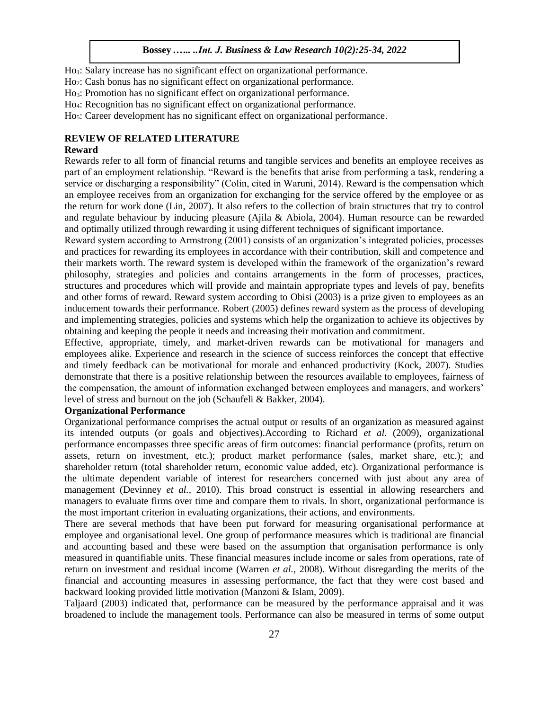Ho1: Salary increase has no significant effect on organizational performance.

Ho2: Cash bonus has no significant effect on organizational performance.

Ho3: Promotion has no significant effect on organizational performance.

Ho4: Recognition has no significant effect on organizational performance.

Ho5: Career development has no significant effect on organizational performance.

# **REVIEW OF RELATED LITERATURE**

#### **Reward**

Rewards refer to all form of financial returns and tangible services and benefits an employee receives as part of an employment relationship. "Reward is the benefits that arise from performing a task, rendering a service or discharging a responsibility" (Colin, cited in Waruni, 2014). Reward is the compensation which an employee receives from an organization for exchanging for the service offered by the employee or as the return for work done (Lin, 2007). It also refers to the collection of brain structures that try to control and regulate behaviour by inducing pleasure (Ajila & Abiola, 2004). Human resource can be rewarded and optimally utilized through rewarding it using different techniques of significant importance.

Reward system according to Armstrong (2001) consists of an organization's integrated policies, processes and practices for rewarding its employees in accordance with their contribution, skill and competence and their markets worth. The reward system is developed within the framework of the organization's reward philosophy, strategies and policies and contains arrangements in the form of processes, practices, structures and procedures which will provide and maintain appropriate types and levels of pay, benefits and other forms of reward. Reward system according to Obisi (2003) is a prize given to employees as an inducement towards their performance. Robert (2005) defines reward system as the process of developing and implementing strategies, policies and systems which help the organization to achieve its objectives by obtaining and keeping the people it needs and increasing their motivation and commitment.

Effective, appropriate, timely, and market-driven rewards can be motivational for managers and employees alike. Experience and research in the science of success reinforces the concept that effective and timely feedback can be motivational for morale and enhanced productivity (Kock, 2007). Studies demonstrate that there is a positive relationship between the resources available to employees, fairness of the compensation, the amount of information exchanged between employees and managers, and workers' level of stress and burnout on the job (Schaufeli & Bakker, 2004).

## **Organizational Performance**

Organizational performance comprises the actual output or results of an organization as measured against its intended outputs (or goals and objectives).According to Richard *et al.* (2009), organizational performance encompasses three specific areas of firm outcomes: financial performance (profits, return on assets, return on investment, etc.); product market performance (sales, market share, etc.); and shareholder return (total shareholder return, economic value added, etc). Organizational performance is the ultimate dependent variable of interest for researchers concerned with just about any area of management (Devinney *et al.,* 2010). This broad construct is essential in allowing researchers and managers to evaluate firms over time and compare them to rivals. In short, organizational performance is the most important criterion in evaluating organizations, their actions, and environments.

There are several methods that have been put forward for measuring organisational performance at employee and organisational level. One group of performance measures which is traditional are financial and accounting based and these were based on the assumption that organisation performance is only measured in quantifiable units. These financial measures include income or sales from operations, rate of return on investment and residual income (Warren *et al.,* 2008). Without disregarding the merits of the financial and accounting measures in assessing performance, the fact that they were cost based and backward looking provided little motivation (Manzoni & Islam, 2009).

Taljaard (2003) indicated that, performance can be measured by the performance appraisal and it was broadened to include the management tools. Performance can also be measured in terms of some output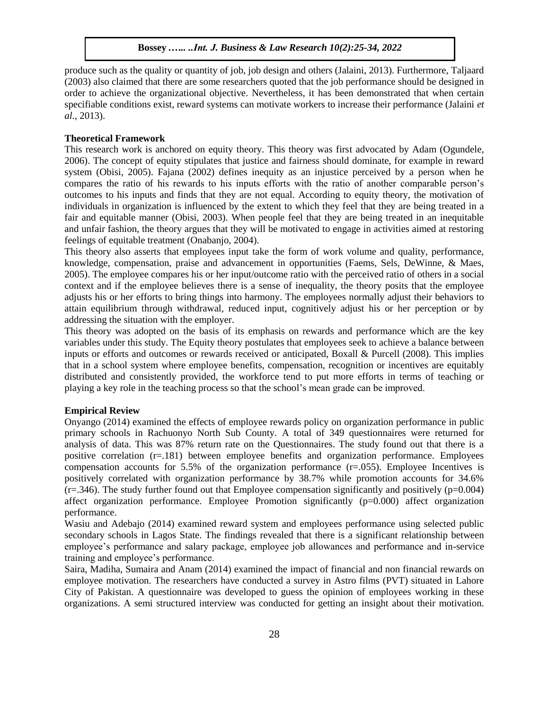produce such as the quality or quantity of job, job design and others (Jalaini, 2013). Furthermore, Taljaard (2003) also claimed that there are some researchers quoted that the job performance should be designed in order to achieve the organizational objective. Nevertheless, it has been demonstrated that when certain specifiable conditions exist, reward systems can motivate workers to increase their performance (Jalaini *et al.,* 2013).

#### **Theoretical Framework**

This research work is anchored on equity theory. This theory was first advocated by Adam (Ogundele, 2006). The concept of equity stipulates that justice and fairness should dominate, for example in reward system (Obisi, 2005). Fajana (2002) defines inequity as an injustice perceived by a person when he compares the ratio of his rewards to his inputs efforts with the ratio of another comparable person's outcomes to his inputs and finds that they are not equal. According to equity theory, the motivation of individuals in organization is influenced by the extent to which they feel that they are being treated in a fair and equitable manner (Obisi, 2003). When people feel that they are being treated in an inequitable and unfair fashion, the theory argues that they will be motivated to engage in activities aimed at restoring feelings of equitable treatment (Onabanjo, 2004).

This theory also asserts that employees input take the form of work volume and quality, performance, knowledge, compensation, praise and advancement in opportunities (Faems, Sels, DeWinne, & Maes, 2005). The employee compares his or her input/outcome ratio with the perceived ratio of others in a social context and if the employee believes there is a sense of inequality, the theory posits that the employee adjusts his or her efforts to bring things into harmony. The employees normally adjust their behaviors to attain equilibrium through withdrawal, reduced input, cognitively adjust his or her perception or by addressing the situation with the employer.

This theory was adopted on the basis of its emphasis on rewards and performance which are the key variables under this study. The Equity theory postulates that employees seek to achieve a balance between inputs or efforts and outcomes or rewards received or anticipated, Boxall & Purcell (2008). This implies that in a school system where employee benefits, compensation, recognition or incentives are equitably distributed and consistently provided, the workforce tend to put more efforts in terms of teaching or playing a key role in the teaching process so that the school's mean grade can be improved.

## **Empirical Review**

Onyango (2014) examined the effects of employee rewards policy on organization performance in public primary schools in Rachuonyo North Sub County. A total of 349 questionnaires were returned for analysis of data. This was 87% return rate on the Questionnaires. The study found out that there is a positive correlation (r=.181) between employee benefits and organization performance. Employees compensation accounts for 5.5% of the organization performance (r=.055). Employee Incentives is positively correlated with organization performance by 38.7% while promotion accounts for 34.6%  $(r=346)$ . The study further found out that Employee compensation significantly and positively ( $p=0.004$ ) affect organization performance. Employee Promotion significantly (p=0.000) affect organization performance.

Wasiu and Adebajo (2014) examined reward system and employees performance using selected public secondary schools in Lagos State. The findings revealed that there is a significant relationship between employee's performance and salary package, employee job allowances and performance and in-service training and employee's performance.

Saira, Madiha, Sumaira and Anam (2014) examined the impact of financial and non financial rewards on employee motivation. The researchers have conducted a survey in Astro films (PVT) situated in Lahore City of Pakistan. A questionnaire was developed to guess the opinion of employees working in these organizations. A semi structured interview was conducted for getting an insight about their motivation.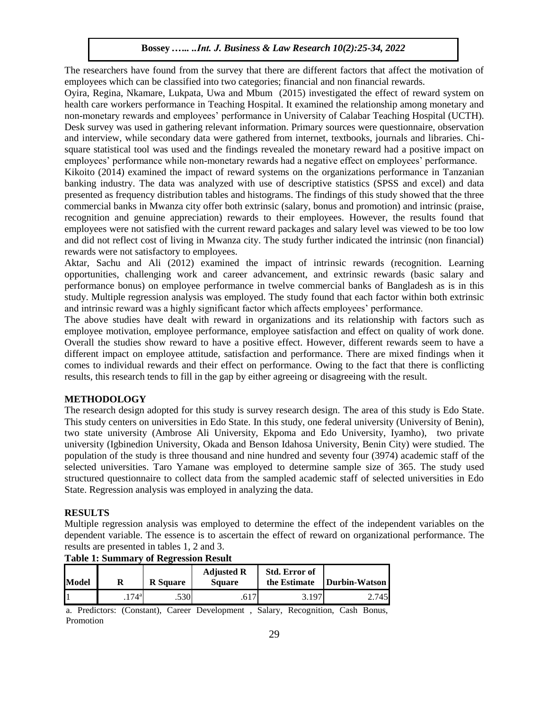The researchers have found from the survey that there are different factors that affect the motivation of employees which can be classified into two categories; financial and non financial rewards.

Oyira, Regina, Nkamare, Lukpata, Uwa and Mbum (2015) investigated the effect of reward system on health care workers performance in Teaching Hospital. It examined the relationship among monetary and non-monetary rewards and employees' performance in University of Calabar Teaching Hospital (UCTH). Desk survey was used in gathering relevant information. Primary sources were questionnaire, observation and interview, while secondary data were gathered from internet, textbooks, journals and libraries. Chisquare statistical tool was used and the findings revealed the monetary reward had a positive impact on employees' performance while non-monetary rewards had a negative effect on employees' performance.

Kikoito (2014) examined the impact of reward systems on the organizations performance in Tanzanian banking industry. The data was analyzed with use of descriptive statistics (SPSS and excel) and data presented as frequency distribution tables and histograms. The findings of this study showed that the three commercial banks in Mwanza city offer both extrinsic (salary, bonus and promotion) and intrinsic (praise, recognition and genuine appreciation) rewards to their employees. However, the results found that employees were not satisfied with the current reward packages and salary level was viewed to be too low and did not reflect cost of living in Mwanza city. The study further indicated the intrinsic (non financial) rewards were not satisfactory to employees.

Aktar, Sachu and Ali (2012) examined the impact of intrinsic rewards (recognition. Learning opportunities, challenging work and career advancement, and extrinsic rewards (basic salary and performance bonus) on employee performance in twelve commercial banks of Bangladesh as is in this study. Multiple regression analysis was employed. The study found that each factor within both extrinsic and intrinsic reward was a highly significant factor which affects employees' performance.

The above studies have dealt with reward in organizations and its relationship with factors such as employee motivation, employee performance, employee satisfaction and effect on quality of work done. Overall the studies show reward to have a positive effect. However, different rewards seem to have a different impact on employee attitude, satisfaction and performance. There are mixed findings when it comes to individual rewards and their effect on performance. Owing to the fact that there is conflicting results, this research tends to fill in the gap by either agreeing or disagreeing with the result.

# **METHODOLOGY**

The research design adopted for this study is survey research design. The area of this study is Edo State. This study centers on universities in Edo State. In this study, one federal university (University of Benin), two state university (Ambrose Ali University, Ekpoma and Edo University, Iyamho), two private university (Igbinedion University, Okada and Benson Idahosa University, Benin City) were studied. The population of the study is three thousand and nine hundred and seventy four (3974) academic staff of the selected universities. Taro Yamane was employed to determine sample size of 365. The study used structured questionnaire to collect data from the sampled academic staff of selected universities in Edo State. Regression analysis was employed in analyzing the data.

# **RESULTS**

Multiple regression analysis was employed to determine the effect of the independent variables on the dependent variable. The essence is to ascertain the effect of reward on organizational performance. The results are presented in tables 1, 2 and 3.

| <b>Model</b> |                     | <b>R</b> Square | <b>Adjusted R</b><br><b>Square</b> | <b>Std. Error of</b><br>the Estimate | <b>Durbin-Watson</b> |
|--------------|---------------------|-----------------|------------------------------------|--------------------------------------|----------------------|
|              | $.174$ <sup>a</sup> | .530            | .O L /                             | 3.197                                | 2.745                |

**Table 1: Summary of Regression Result** 

a. Predictors: (Constant), Career Development , Salary, Recognition, Cash Bonus, Promotion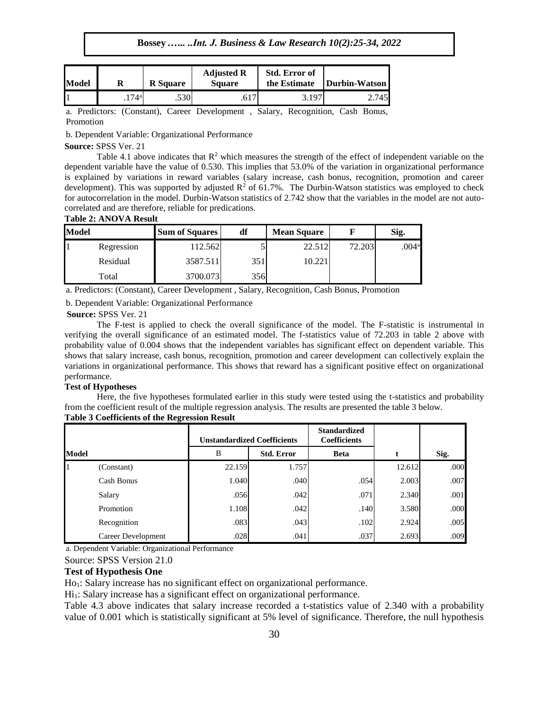**Bossey** *.….. ..Int. J. Business & Law Research 10(2):25-34, 2022*

| <b>Model</b> |                 | <b>R</b> Square | <b>Adjusted R</b><br><b>Square</b> | <b>Std. Error of</b><br>the Estimate | Durbin-Watson |
|--------------|-----------------|-----------------|------------------------------------|--------------------------------------|---------------|
|              | 74 <sup>a</sup> | .530            |                                    | 3.197                                | 2.745         |

a. Predictors: (Constant), Career Development , Salary, Recognition, Cash Bonus, Promotion

b. Dependent Variable: Organizational Performance

#### **Source:** SPSS Ver. 21

Table 4.1 above indicates that  $R^2$  which measures the strength of the effect of independent variable on the dependent variable have the value of 0.530. This implies that 53.0% of the variation in organizational performance is explained by variations in reward variables (salary increase, cash bonus, recognition, promotion and career development). This was supported by adjusted  $\mathbb{R}^2$  of 61.7%. The Durbin-Watson statistics was employed to check for autocorrelation in the model. Durbin-Watson statistics of 2.742 show that the variables in the model are not autocorrelated and are therefore, reliable for predications.

## **Table 2: ANOVA Result**

| Model |            | <b>Sum of Squares</b> | df   | <b>Mean Square</b> |        | Sig.              |
|-------|------------|-----------------------|------|--------------------|--------|-------------------|
|       | Regression | 112.562               |      | 22.512             | 72.203 | .004 <sup>a</sup> |
|       | Residual   | 3587.511              | 351  | 10.221             |        |                   |
|       | Total      | 3700.073              | 356I |                    |        |                   |

a. Predictors: (Constant), Career Development , Salary, Recognition, Cash Bonus, Promotion

b. Dependent Variable: Organizational Performance

#### **Source:** SPSS Ver. 21

The F-test is applied to check the overall significance of the model. The F-statistic is instrumental in verifying the overall significance of an estimated model. The f-statistics value of 72.203 in table 2 above with probability value of 0.004 shows that the independent variables has significant effect on dependent variable. This shows that salary increase, cash bonus, recognition, promotion and career development can collectively explain the variations in organizational performance. This shows that reward has a significant positive effect on organizational performance.

## **Test of Hypotheses**

Here, the five hypotheses formulated earlier in this study were tested using the t-statistics and probability from the coefficient result of the multiple regression analysis. The results are presented the table 3 below.

| <b>Table 3 Coefficients of the Regression Result</b> |  |  |
|------------------------------------------------------|--|--|
|                                                      |  |  |
|                                                      |  |  |

|       |                    | <b>Unstandardized Coefficients</b> |                   | <b>Standardized</b><br><b>Coefficients</b> |        |      |
|-------|--------------------|------------------------------------|-------------------|--------------------------------------------|--------|------|
| Model |                    | B                                  | <b>Std. Error</b> | <b>Beta</b>                                |        | Sig. |
|       | (Constant)         | 22.159                             | 1.757             |                                            | 12.612 | .000 |
|       | Cash Bonus         | 1.040                              | .040              | .054                                       | 2.003  | .007 |
|       | Salary             | .056                               | .042              | .071                                       | 2.340  | .001 |
|       | Promotion          | 1.108                              | .042              | .140                                       | 3.580  | .000 |
|       | Recognition        | .083                               | .043              | .102                                       | 2.924  | .005 |
|       | Career Development | .028                               | .041              | .037                                       | 2.693  | .009 |

a. Dependent Variable: Organizational Performance

Source: SPSS Version 21.0

## **Test of Hypothesis One**

Ho1: Salary increase has no significant effect on organizational performance.

Hi<sub>1</sub>: Salary increase has a significant effect on organizational performance.

Table 4.3 above indicates that salary increase recorded a t-statistics value of 2.340 with a probability value of 0.001 which is statistically significant at 5% level of significance. Therefore, the null hypothesis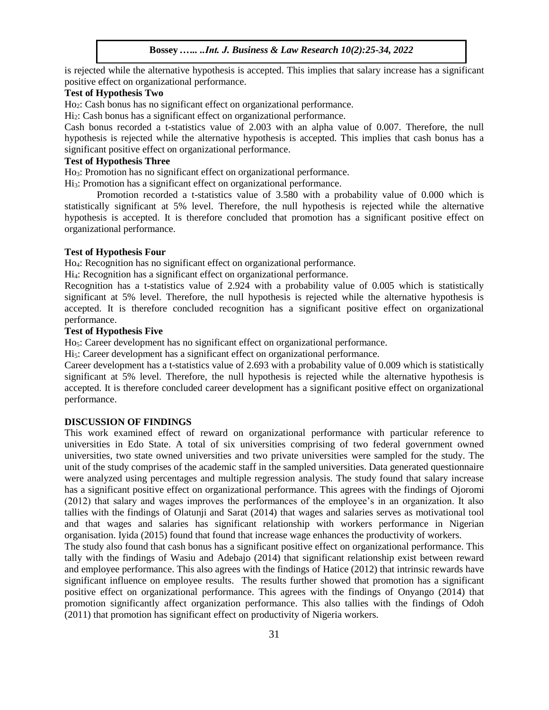is rejected while the alternative hypothesis is accepted. This implies that salary increase has a significant positive effect on organizational performance.

# **Test of Hypothesis Two**

Ho2: Cash bonus has no significant effect on organizational performance.

Hi2: Cash bonus has a significant effect on organizational performance.

Cash bonus recorded a t-statistics value of 2.003 with an alpha value of 0.007. Therefore, the null hypothesis is rejected while the alternative hypothesis is accepted. This implies that cash bonus has a significant positive effect on organizational performance.

# **Test of Hypothesis Three**

Ho3: Promotion has no significant effect on organizational performance.

Hi3: Promotion has a significant effect on organizational performance.

Promotion recorded a t-statistics value of 3.580 with a probability value of 0.000 which is statistically significant at 5% level. Therefore, the null hypothesis is rejected while the alternative hypothesis is accepted. It is therefore concluded that promotion has a significant positive effect on organizational performance.

## **Test of Hypothesis Four**

Ho4: Recognition has no significant effect on organizational performance.

Hi4: Recognition has a significant effect on organizational performance.

Recognition has a t-statistics value of 2.924 with a probability value of 0.005 which is statistically significant at 5% level. Therefore, the null hypothesis is rejected while the alternative hypothesis is accepted. It is therefore concluded recognition has a significant positive effect on organizational performance.

## **Test of Hypothesis Five**

Ho<sub>5</sub>: Career development has no significant effect on organizational performance.

Hi<sub>5</sub>: Career development has a significant effect on organizational performance.

Career development has a t-statistics value of 2.693 with a probability value of 0.009 which is statistically significant at 5% level. Therefore, the null hypothesis is rejected while the alternative hypothesis is accepted. It is therefore concluded career development has a significant positive effect on organizational performance.

#### **DISCUSSION OF FINDINGS**

This work examined effect of reward on organizational performance with particular reference to universities in Edo State. A total of six universities comprising of two federal government owned universities, two state owned universities and two private universities were sampled for the study. The unit of the study comprises of the academic staff in the sampled universities. Data generated questionnaire were analyzed using percentages and multiple regression analysis. The study found that salary increase has a significant positive effect on organizational performance. This agrees with the findings of Ojoromi (2012) that salary and wages improves the performances of the employee's in an organization. It also tallies with the findings of Olatunji and Sarat (2014) that wages and salaries serves as motivational tool and that wages and salaries has significant relationship with workers performance in Nigerian organisation. Iyida (2015) found that found that increase wage enhances the productivity of workers.

The study also found that cash bonus has a significant positive effect on organizational performance. This tally with the findings of Wasiu and Adebajo (2014) that significant relationship exist between reward and employee performance. This also agrees with the findings of Hatice (2012) that intrinsic rewards have significant influence on employee results. The results further showed that promotion has a significant positive effect on organizational performance. This agrees with the findings of Onyango (2014) that promotion significantly affect organization performance. This also tallies with the findings of Odoh (2011) that promotion has significant effect on productivity of Nigeria workers.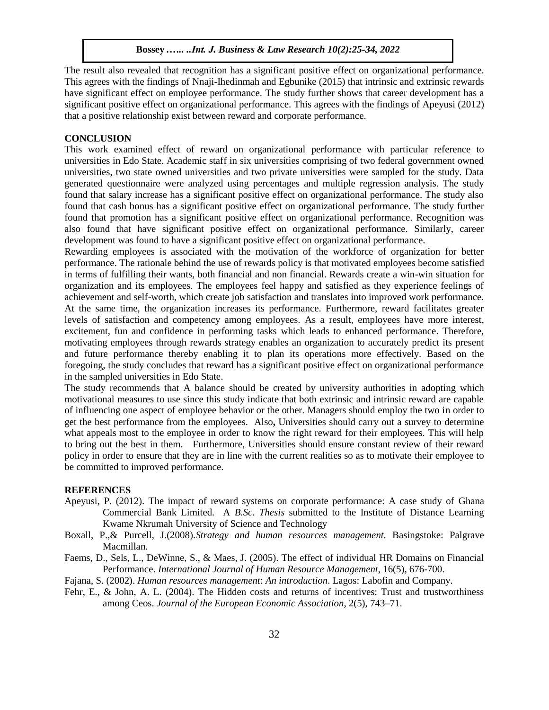The result also revealed that recognition has a significant positive effect on organizational performance. This agrees with the findings of Nnaji-Ihedinmah and Egbunike (2015) that intrinsic and extrinsic rewards have significant effect on employee performance. The study further shows that career development has a significant positive effect on organizational performance. This agrees with the findings of Apeyusi (2012) that a positive relationship exist between reward and corporate performance.

## **CONCLUSION**

This work examined effect of reward on organizational performance with particular reference to universities in Edo State. Academic staff in six universities comprising of two federal government owned universities, two state owned universities and two private universities were sampled for the study. Data generated questionnaire were analyzed using percentages and multiple regression analysis. The study found that salary increase has a significant positive effect on organizational performance. The study also found that cash bonus has a significant positive effect on organizational performance. The study further found that promotion has a significant positive effect on organizational performance. Recognition was also found that have significant positive effect on organizational performance. Similarly, career development was found to have a significant positive effect on organizational performance.

Rewarding employees is associated with the motivation of the workforce of organization for better performance. The rationale behind the use of rewards policy is that motivated employees become satisfied in terms of fulfilling their wants, both financial and non financial. Rewards create a win-win situation for organization and its employees. The employees feel happy and satisfied as they experience feelings of achievement and self-worth, which create job satisfaction and translates into improved work performance. At the same time, the organization increases its performance. Furthermore, reward facilitates greater levels of satisfaction and competency among employees. As a result, employees have more interest, excitement, fun and confidence in performing tasks which leads to enhanced performance. Therefore, motivating employees through rewards strategy enables an organization to accurately predict its present and future performance thereby enabling it to plan its operations more effectively. Based on the foregoing, the study concludes that reward has a significant positive effect on organizational performance in the sampled universities in Edo State.

The study recommends that A balance should be created by university authorities in adopting which motivational measures to use since this study indicate that both extrinsic and intrinsic reward are capable of influencing one aspect of employee behavior or the other. Managers should employ the two in order to get the best performance from the employees.Also**,** Universities should carry out a survey to determine what appeals most to the employee in order to know the right reward for their employees. This will help to bring out the best in them. Furthermore, Universities should ensure constant review of their reward policy in order to ensure that they are in line with the current realities so as to motivate their employee to be committed to improved performance.

#### **REFERENCES**

- Apeyusi, P. (2012). The impact of reward systems on corporate performance: A case study of Ghana Commercial Bank Limited. A *B.Sc. Thesis* submitted to the Institute of Distance Learning Kwame Nkrumah University of Science and Technology
- Boxall, P.,& Purcell, J.(2008).*Strategy and human resources management.* Basingstoke: Palgrave Macmillan.
- Faems, D., Sels, L., DeWinne, S., & Maes, J. (2005). The effect of individual HR Domains on Financial Performance. *International Journal of Human Resource Management*, 16(5), 676-700.
- Fajana, S. (2002). *Human resources management*: *An introduction*. Lagos: Labofin and Company.
- Fehr, E., & John, A. L. (2004). The Hidden costs and returns of incentives: Trust and trustworthiness among Ceos. *Journal of the European Economic Association,* 2(5), 743–71.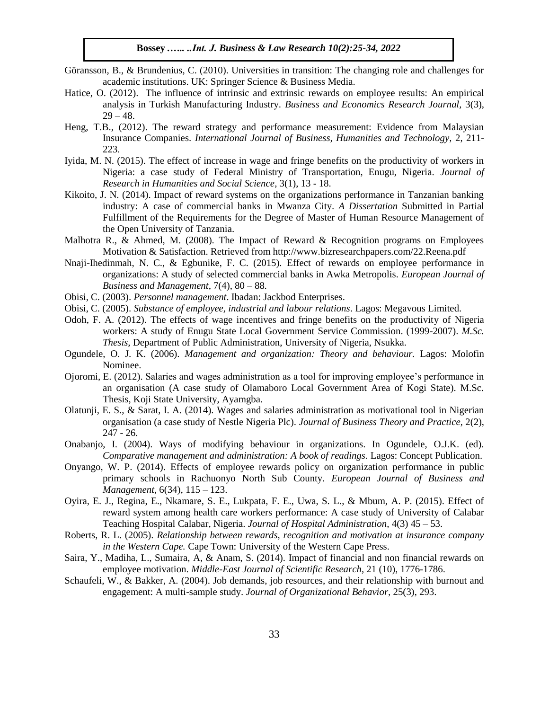- Göransson, B., & Brundenius, C. (2010). Universities in transition: The changing role and challenges for academic institutions. UK: Springer Science & Business Media.
- Hatice, O. (2012). The influence of intrinsic and extrinsic rewards on employee results: An empirical analysis in Turkish Manufacturing Industry. *Business and Economics Research Journal,* 3(3),  $29 - 48.$
- Heng, T.B., (2012). The reward strategy and performance measurement: Evidence from Malaysian Insurance Companies. *International Journal of Business, Humanities and Technology,* 2, 211- 223.
- Iyida, M. N. (2015). The effect of increase in wage and fringe benefits on the productivity of workers in Nigeria: a case study of Federal Ministry of Transportation, Enugu, Nigeria. *Journal of Research in Humanities and Social Science*, 3(1), 13 - 18.
- Kikoito, J. N. (2014). Impact of reward systems on the organizations performance in Tanzanian banking industry: A case of commercial banks in Mwanza City. *A Dissertation* Submitted in Partial Fulfillment of the Requirements for the Degree of Master of Human Resource Management of the Open University of Tanzania.
- Malhotra R., & Ahmed, M. (2008). The Impact of Reward & Recognition programs on Employees Motivation & Satisfaction. Retrieved from http://www.bizresearchpapers.com/22.Reena.pdf
- Nnaji-Ihedinmah, N. C., & Egbunike, F. C. (2015). Effect of rewards on employee performance in organizations: A study of selected commercial banks in Awka Metropolis. *European Journal of Business and Management*, 7(4), 80 – 88.
- Obisi, C. (2003). *Personnel management*. Ibadan: Jackbod Enterprises.
- Obisi, C. (2005). *Substance of employee, industrial and labour relations*. Lagos: Megavous Limited.
- Odoh, F. A. (2012). The effects of wage incentives and fringe benefits on the productivity of Nigeria workers: A study of Enugu State Local Government Service Commission. (1999-2007). *M.Sc. Thesis,* Department of Public Administration, University of Nigeria, Nsukka.
- Ogundele, O. J. K. (2006). *Management and organization: Theory and behaviour.* Lagos: Molofin Nominee.
- Ojoromi, E. (2012). Salaries and wages administration as a tool for improving employee's performance in an organisation (A case study of Olamaboro Local Government Area of Kogi State). M.Sc. Thesis, Koji State University, Ayamgba.
- Olatunji, E. S., & Sarat, I. A. (2014). Wages and salaries administration as motivational tool in Nigerian organisation (a case study of Nestle Nigeria Plc). *Journal of Business Theory and Practice,* 2(2), 247 - 26.
- Onabanjo, I. (2004). Ways of modifying behaviour in organizations. In Ogundele, O.J.K. (ed). *Comparative management and administration: A book of readings.* Lagos: Concept Publication.
- Onyango, W. P. (2014). Effects of employee rewards policy on organization performance in public primary schools in Rachuonyo North Sub County. *European Journal of Business and Management*, 6(34), 115 – 123.
- Oyira, E. J., Regina, E., Nkamare, S. E., Lukpata, F. E., Uwa, S. L., & Mbum, A. P. (2015). Effect of reward system among health care workers performance: A case study of University of Calabar Teaching Hospital Calabar, Nigeria. *Journal of Hospital Administration*, 4(3) 45 – 53.
- Roberts, R. L. (2005). *Relationship between rewards, recognition and motivation at insurance company in the Western Cape.* Cape Town: University of the Western Cape Press.
- Saira, Y., Madiha, L., Sumaira, A, & Anam, S. (2014). Impact of financial and non financial rewards on employee motivation. *Middle-East Journal of Scientific Research*, 21 (10), 1776-1786.
- Schaufeli, W., & Bakker, A. (2004). Job demands, job resources, and their relationship with burnout and engagement: A multi-sample study. *Journal of Organizational Behavior,* 25(3), 293.